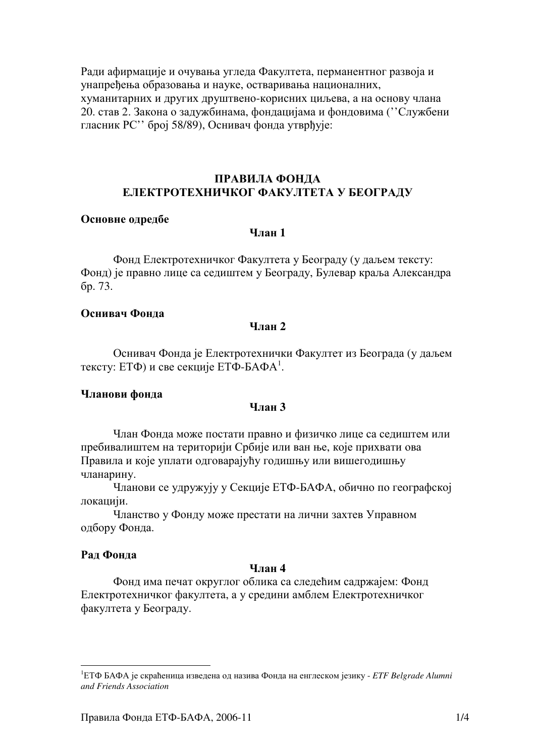Ради афирмације и очувања угледа Факултета, перманентног развоја и унапређења образовања и науке, остваривања националних, хуманитарних и других друштвено-корисних циљева, а на основу члана 20. став 2. Закона о задужбинама, фондацијама и фондовима ("Службени гласник РС" број 58/89), Оснивач фонда утврђује:

## ПРАВИЛА ФОНДА ЕЛЕКТРОТЕХНИЧКОГ ФАКУЛТЕТА У БЕОГРАДУ

#### Основне одредбе

## $V<sub>II</sub>$ ян 1

Фонд Електротехничког Факултета у Београду (у даљем тексту: Фонд) је правно лице са седиштем у Београду, Булевар краља Александра бр. 73.

### Оснивач Фонла

#### $V$ пан 2

Оснивач Фонда је Електротехнички Факултет из Београда (у даљем тексту: ЕТФ) и све секције ЕТФ-БАФА<sup>1</sup>.

#### Чланови фонда

#### Члан 3

Члан Фонда може постати правно и физичко лице са седиштем или пребивалиштем на територији Србије или ван ње, које прихвати ова Правила и које уплати одговарајућу годишњу или вишегодишњу чланарину.

Чланови се удружују у Секције ЕТФ-БАФА, обично по географској локацији.

Чланство у Фонду може престати на лични захтев Управном одбору Фонда.

#### Рад Фонда

# $V$ пян $\boldsymbol{\Lambda}$

Фонд има печат округлог облика са следећим садржајем: Фонд Електротехничког факултета, а у средини амблем Електротехничког факултета у Београду.

<sup>&</sup>lt;sup>1</sup>ЕТФ БАФА је скраћеница извелена од назива Фонда на енглеском језику - *ETF Belgrade Alumni* and Friends Association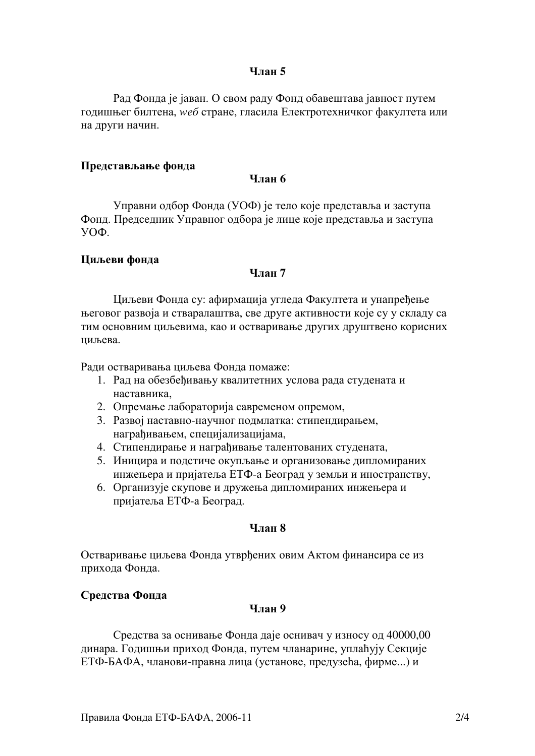## **Члан** 5

Рад Фонда је јаван. О свом раду Фонд обавештава јавност путем годишњег билтена, weб стране, гласила Електротехничког факултета или на други начин.

#### Представљање фонда

Члян б

Управни одбор Фонда (УОФ) је тело које представља и заступа Фонд. Председник Управног одбора је лице које представља и заступа  $V$ O $\Phi$ .

### Циљеви фонда

# $V$ пан 7

Циљеви Фонда су: афирмација угледа Факултета и унапређење његовог развоја и стваралаштва, све друге активности које су у складу са тим основним циљевима, као и остваривање других друштвено корисних ниљева.

Ради остваривања циљева Фонда помаже:

- 1. Рад на обезбеђивању квалитетних услова рада студената и наставника.
- 2. Опремање лабораторија савременом опремом,
- 3. Развој наставно-научног подмлатка: стипендирањем, награђивањем, специјализацијама,
- 4. Стипендирање и награђивање талентованих студената,
- 5. Иницира и подстиче окупљање и организовање дипломираних инжењера и пријатеља ЕТФ-а Београд у земљи и иностранству,
- 6. Организује скупове и дружења дипломираних инжењера и пријатеља ЕТФ-а Београд.

### Члян 8

Остваривање циљева Фонда утврђених овим Актом финансира се из прихода Фонда.

## Средства Фонда

#### Члян 9

Средства за оснивање Фонда даје оснивач у износу од 40000,00 динара. Годишњи приход Фонда, путем чланарине, уплаћују Секције ЕТФ-БАФА, чланови-правна лица (установе, предузећа, фирме...) и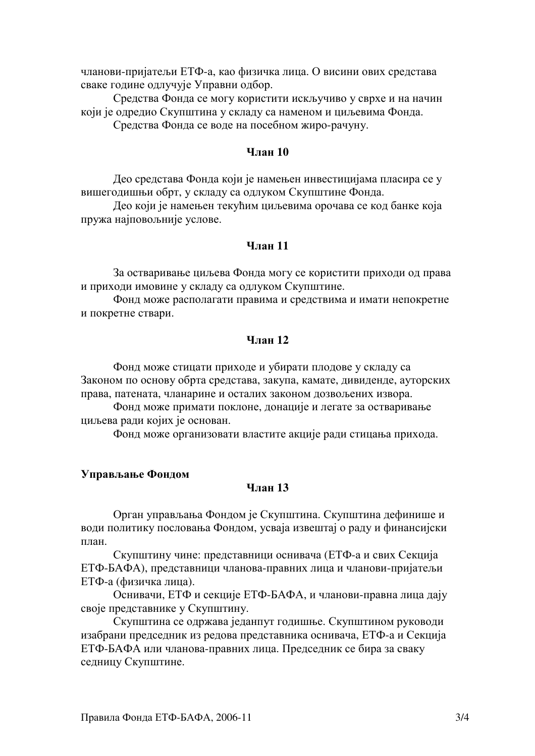чланови-пријатељи ЕТФ-а, као физичка лица. О висини ових средстава сваке године одлучује Управни одбор.

Средства Фонда се могу користити искључиво у сврхе и на начин који је одредио Скупштина у складу са наменом и циљевима Фонда.

Средства Фонда се воде на посебном жиро-рачуну.

## **Члян 10**

Део средстава Фонда који је намењен инвестицијама пласира се у вишегодишњи обрт, у складу са одлуком Скупштине Фонда.

Део који је намењен текућим циљевима орочава се код банке која пружа најповољније услове.

### **Члян 11**

За остваривање циљева Фонда могу се користити приходи од права и приходи имовине у складу са одлуком Скупштине.

Фонд може располагати правима и средствима и имати непокретне и покретне ствари.

### Члян 12

Фонд може стицати приходе и убирати плодове у складу са Законом по основу обрта средстава, закупа, камате, дивиденде, ауторских права, патената, чланарине и осталих законом дозвољених извора.

Фонд може примати поклоне, донације и легате за остваривање циљева ради којих је основан.

Фонд може организовати властите акције ради стицања прихода.

#### Управљање Фондом

### **Члян 13**

Орган управљања Фондом је Скупштина. Скупштина дефинише и води политику пословања Фондом, усваја извештај о раду и финансијски план.

Скупштину чине: представници оснивача (ЕТФ-а и свих Секција ЕТФ-БАФА), представници чланова-правних лица и чланови-пријатељи ЕТФ-а (физичка лица).

Оснивачи, ЕТФ и секције ЕТФ-БАФА, и чланови-правна лица дају своје представнике у Скупштину.

Скупштина се одржава једанпут годишње. Скупштином руководи изабрани председник из редова представника оснивача, ЕТФ-а и Секција ЕТФ-БАФА или чланова-правних лица. Председник се бира за сваку седницу Скупштине.